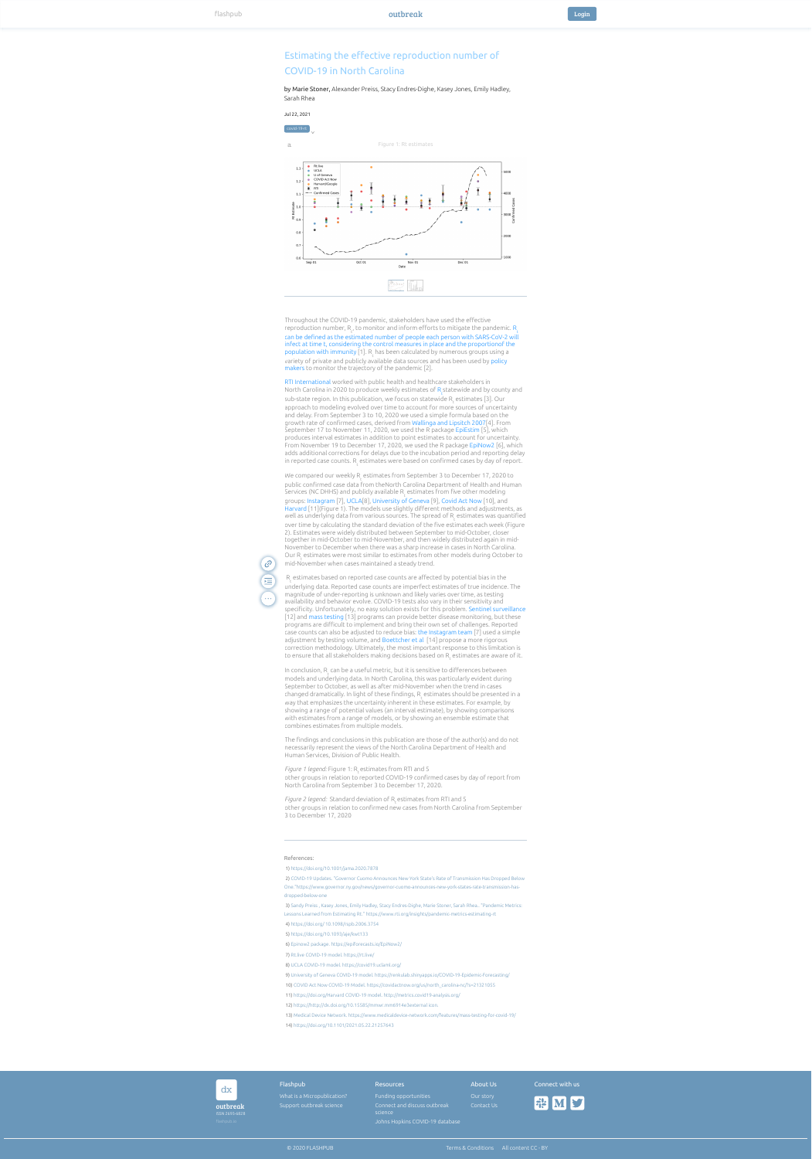| dx                         | Flashpub                    | Resources                               | About Us   | Connect with us |
|----------------------------|-----------------------------|-----------------------------------------|------------|-----------------|
|                            | What is a Micropublication? | Funding opportunities                   | Our story  |                 |
| outbreak<br>ISSN 2693-6828 | Support outbreak science    | Connect and discuss outbreak<br>science | Contact Us | <b>FIE MS</b>   |
| flashpub.io                |                             | Johns Hopkins COVID-19 database         |            |                 |

## Estimating the effective reproduction number of COVID-19 in North Carolina

by Marie Stoner, Alexander Preiss, Stacy Endres-Dighe, Kasey Jones, Emily Hadley, Sarah Rhea

© 2020 FLASHPUB [Terms & Conditions](https://outbreak.flashpub.io/) [All content CC - BY](https://outbreak.flashpub.io/)

Jul 22, 2021

## References:



## b Figure 2: Standard deviation of Rt estimates a Figure 1: Rt estimates b Figure 2: Standard deviation of Rt estimates a







e Rt.live<br>e UCLA

 $\bullet$  U of Ge

**COVID** 

**e** Harvard

 $\overline{\bullet}$  RTI

 $Sep 01$ 

 $-\cdot$ - Confirm

5144<br>V <u>i illulat</u>

1) <https://doi.org/10.1001/jama.2020.7878> 2) COVID-19 Updates. "Governor Cuomo Announces New York State's Rate of Transmission Has Dropped Below [One."https://www.governor.ny.gov/news/governor-cuomo-announces-new-york-states-rate-transmission-has](https://outbreak.flashpub.io/pub/COVID-19%20Updates.%20%22Governor%20Cuomo%20Announces%20New%20York%20State)dropped-below-one 3) [Sandy Preiss , Kasey Jones, Emily Hadley, Stacy Endres-Dighe, Marie Stoner, Sarah Rhea.. "Pandemic Metrics:](https://outbreak.flashpub.io/pub/Sandy%20Preiss%20,%20Kasey%20Jones,%20Emily%20Hadley,%20Stacy%20Endres-Dighe,%20Marie%20Stoner,%20Sarah%20Rhea..%20%22Pandemic%20Metrics:%20Lessons%20Learned%20from%20Estimating%20Rt.%22%20https://www.rti.org/insights/pandemic-metrics-estimating-rt) Lessons Learned from Estimating Rt." https://www.rti.org/insights/pandemic-metrics-estimating-rt 4) [https://doi.org/ 10.1098/rspb.2006.3754](https://doi.org/%2010.1098/rspb.2006.3754)

Throughout the COVID-19 pandemic, stakeholders have used the effective reproduction number,  $\mathsf{R}_{_{\sf t}^{\prime}}$  to monitor and inform efforts to mitigate the pandemic.  $\mathsf{R}_{_{\sf t}}$  ${\sf population}$  with immunity [1].  ${\sf R}_{\sf t}$  has been calculated by numerous groups using a variety of private and publicly available data sources and has been used by [policy](https://www.governor.ny.gov/news/governor-cuomo-announces-new-york-states-rate-transmission-has-dropped-below-one) [makers](https://www.governor.ny.gov/news/governor-cuomo-announces-new-york-states-rate-transmission-has-dropped-below-one) to monitor the trajectory of the pandemic [2]. can be def[ned as the estimated number of people each person with SARS-CoV-2 will](https://jamanetwork.com/journals/jama/fullarticle/2765665) [infect at time t, considering the control measures in place and the proportionof the](https://jamanetwork.com/journals/jama/fullarticle/2765665)

[RTI](https://www.rti.org/insights/pandemic-metrics-estimating-rt) [International](https://www.rti.org/insights/pandemic-metrics-estimating-rt) worked with public health and healthcare stakeholders in North Carolina in 2020 to produce weekly estimates of R<sub>e</sub>statewide and by county and sub-state region. In this publication, we focus on statewide  $\mathsf{R}_{_\mathsf{t}}$  estimates [3]. Our approach to modeling evolved over time to account for more sources of uncertainty and delay. From September 3 to 10, 2020 we used a simple formula based on the growth rate of confirmed cases, derived from Wallinga and Lipsitch 2007[4]. From September 17 to November 11, 2020, we used the R package EpiEstim [5], which produces interval estimates in addition to point estimates to account for uncertainty. From November 19 to December 17, 2020, we used the R package EpiNow2 [6], which adds additional corrections for delays due to the incubation period and reporting delay in reported case counts.  $\mathsf{R}_{_{\mathsf{t}}}$  estimates were based on confirmed cases by day of report.

5) <https://doi.org/10.1093/aje/kwt133>

6) [Epinow2 package. https://epiforecasts.io/EpiNow2/](https://outbreak.flashpub.io/pub/Epinow2%20package.%20https://epiforecasts.io/EpiNow2/) 7) [Rt.live COVID-19 model. https://rt.live/](https://outbreak.flashpub.io/pub/Rt.live%20COVID-19%20model.%20https://rt.live/) 8) [UCLA COVID-19 model. https://covid19.uclaml.org/](https://outbreak.flashpub.io/pub/UCLA%20COVID-19%20model.%20https://covid19.uclaml.org/) 9) [University of Geneva COVID-19 model. https://renkulab.shinyapps.io/COVID-19-Epidemic-Forecasting/](https://outbreak.flashpub.io/pub/University%20of%20Geneva%20COVID-19%20model.%20https://renkulab.shinyapps.io/COVID-19-Epidemic-Forecasting/) 10) [COVID Act Now COVID-19 Model. https://covidactnow.org/us/north\\_carolina-nc/?s=21321055](https://outbreak.flashpub.io/pub/COVID%20Act%20Now%20COVID-19%20Model.%20https://covidactnow.org/us/north_carolina-nc/?s=21321055) 11) [https://doi.org/Harvard COVID-19 model. http://metrics.covid19-analysis.org/](https://doi.org/Harvard%20COVID-19%20model.%20http://metrics.covid19-analysis.org/) 12) [https://http://dx.doi.org/10.15585/mmwr.mm6914e3external icon.](https://http//dx.doi.org/10.15585/mmwr.mm6914e3external%20icon.) 13) [Medical Device Network. https://www.medicaldevice-network.com/features/mass-testing-for-covid-19/](https://outbreak.flashpub.io/pub/Medical%20Device%20Network.%20https://www.medicaldevice-network.com/features/mass-testing-for-covid-19/) 14) <https://doi.org/10.1101/2021.05.22.21257643>

We compared our weekly  $\mathsf{R}_{_{\rm E}}$  estimates from September 3 to December 17, 2020 to public confrmed case data from theNorth Carolina Department of Health and Human Services (NC DHHS) and publicly available  $\mathsf{R}_{_\mathsf{E}}$  estimates from five other modeling groups:Instagram [7], UCLA[8], University of Geneva [9], Covid Act Now [10], and [Harvard](http://metrics.covid19-analysis.org/) [11] (Figure 1). The models use slightly different methods and adjustments, as well as underlying data from various sources. The spread of  $\mathsf{R}_{_\mathsf{E}}$  estimates was quantified over time by calculating the standard deviation of the five estimates each week (Figure 2). Estimates were widely distributed between September to mid-October, closer together in mid-October to mid-November, and then widely distributed again in mid-November to December when there was a sharp increase in cases in North Carolina. Our R<sub>t</sub> estimates were most similar to estimates from other models during October to mid-November when cases maintained a steady trend.

 $R_{t}$  estimates based on reported case counts are affected by potential bias in the underlying data. Reported case counts are imperfect estimates of true incidence. The magnitude of under-reporting is unknown and likely varies over time, as testing availability and behavior evolve. COVID-19 tests also vary in their sensitivity and specificity. Unfortunately, no easy solution exists for this problem. [Sentinel](https://nam04.safelinks.protection.outlook.com/?url=https%3A%2F%2Fwww.cdc.gov%2Fmmwr%2Fvolumes%2F69%2Fwr%2Fmm6914e3.htm&data=04%7C01%7Cmcstoner%40rti.org%7C1bf5dd117df640e6a30e08d95cf9a4e7%7C2ffc2ede4d4449948082487341fa43fb%7C0%7C0%7C637643049545731752%7CUnknown%7CTWFpbGZsb3d8eyJWIjoiMC4wLjAwMDAiLCJQIjoiV2luMzIiLCJBTiI6Ik1haWwiLCJXVCI6Mn0%3D%7C1000&sdata=1Fr2iUQZuCEcNoEc0DXq7%2FHL9ez3MyOC077XVnaUsDU%3D&reserved=0) [surveillance](https://nam04.safelinks.protection.outlook.com/?url=https%3A%2F%2Fwww.cdc.gov%2Fmmwr%2Fvolumes%2F69%2Fwr%2Fmm6914e3.htm&data=04%7C01%7Cmcstoner%40rti.org%7C1bf5dd117df640e6a30e08d95cf9a4e7%7C2ffc2ede4d4449948082487341fa43fb%7C0%7C0%7C637643049545731752%7CUnknown%7CTWFpbGZsb3d8eyJWIjoiMC4wLjAwMDAiLCJQIjoiV2luMzIiLCJBTiI6Ik1haWwiLCJXVCI6Mn0%3D%7C1000&sdata=1Fr2iUQZuCEcNoEc0DXq7%2FHL9ez3MyOC077XVnaUsDU%3D&reserved=0) [12] and mass testing [13] programs can provide better disease monitoring, but these programs are difficult to implement and bring their own set of challenges. Reported case counts can also be adjusted to reduce bias: the Instagram team [7] used a simple adjustment by testing volume, and Boettcher et al [14] propose a more rigorous correction methodology. Ultimately, the most important response to this limitation is to ensure that all stakeholders making decisions based on  $\mathsf{R}_{_{\mathrm{t}}}$  estimates are aware of it.

 $\widehat{\mathscr{C}}$ 巨  $\sqrt{2}$ 

> In conclusion,  $\text{R}_{_{\text{t}}}$  can be a useful metric, but it is sensitive to differences between models and underlying data. In North Carolina, this was particularly evident during September to October, as well as after mid-November when the trend in cases changed dramatically. In light of these findings,  $\mathsf{R}_{_\text{t}}$  estimates should be presented in a way that emphasizes the uncertainty inherent in these estimates. For example, by showing a range of potential values (an interval estimate), by showing comparisons with estimates from a range of models, or by showing an ensemble estimate that combines estimates from multiple models.

> The findings and conclusions in this publication are those of the author(s) and do not necessarily represent the views of the North Carolina Department of Health and Human Services, Division of Public Health.

> *Figure 1 legend:* Figure 1: R<sub>t</sub> estimates from RTI and 5 other groups in relation to reported COVID-19 confrmed cases by day of report from North Carolina from September 3 to December 17, 2020.

> *Figure 2 legend: S*tandard deviation of R<sub>,</sub> estimates from RTI and 5 other groups in relation to confrmed new cases from North Carolina from September 3 to December 17, 2020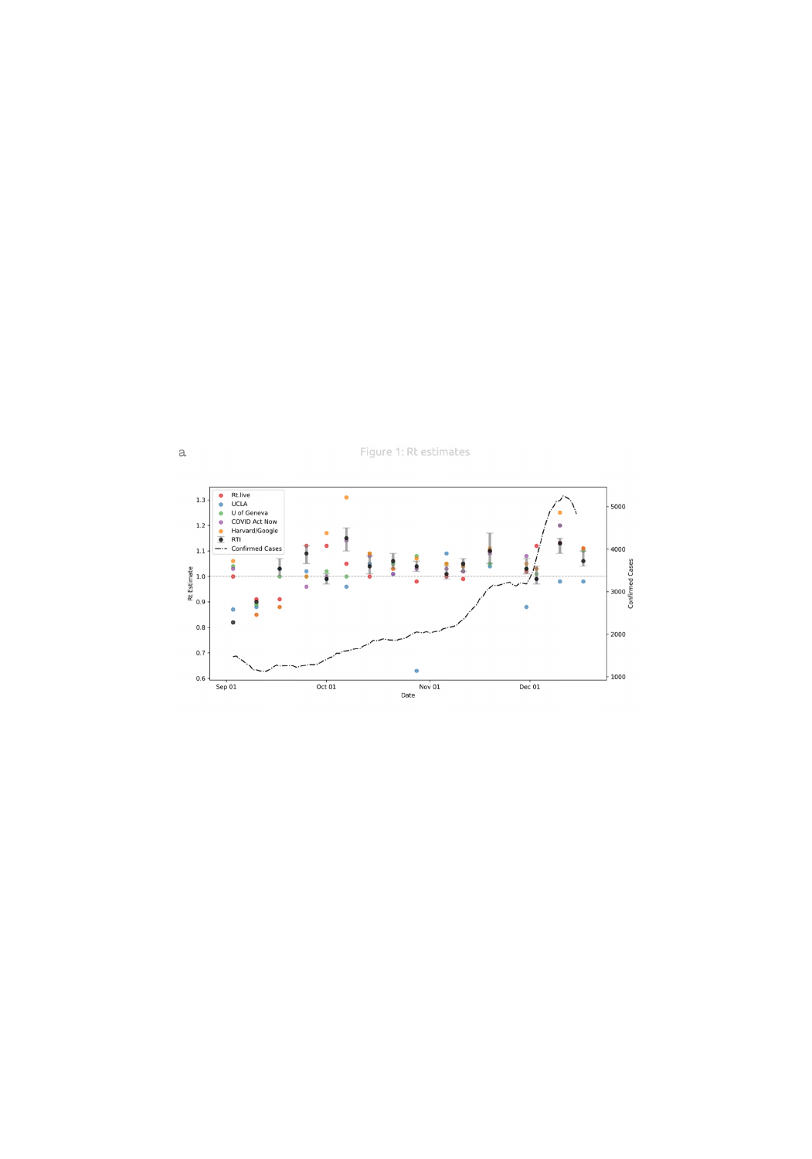Figure 1: Rt estimates



 $\rm{a}$